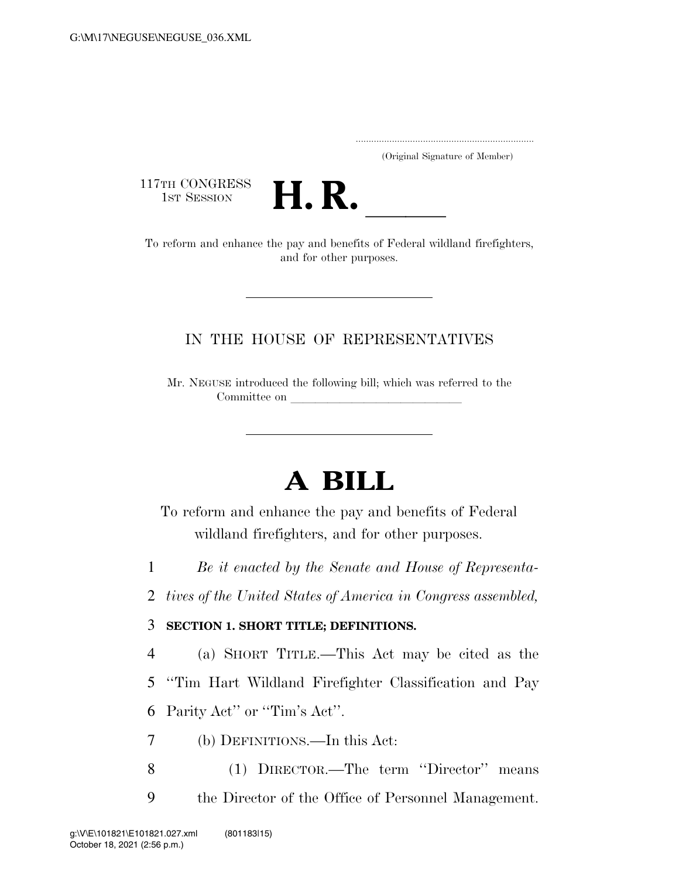..................................................................... (Original Signature of Member)

117TH CONGRESS<br>1st Session



17TH CONGRESS<br>1st SESSION<br>To reform and enhance the pay and benefits of Federal wildland firefighters, and for other purposes.

### IN THE HOUSE OF REPRESENTATIVES

Mr. NEGUSE introduced the following bill; which was referred to the Committee on

# **A BILL**

To reform and enhance the pay and benefits of Federal wildland firefighters, and for other purposes.

1 *Be it enacted by the Senate and House of Representa-*

2 *tives of the United States of America in Congress assembled,* 

#### 3 **SECTION 1. SHORT TITLE; DEFINITIONS.**

4 (a) SHORT TITLE.—This Act may be cited as the

5 ''Tim Hart Wildland Firefighter Classification and Pay 6 Parity Act'' or ''Tim's Act''.

7 (b) DEFINITIONS.—In this Act:

8 (1) DIRECTOR.—The term ''Director'' means 9 the Director of the Office of Personnel Management.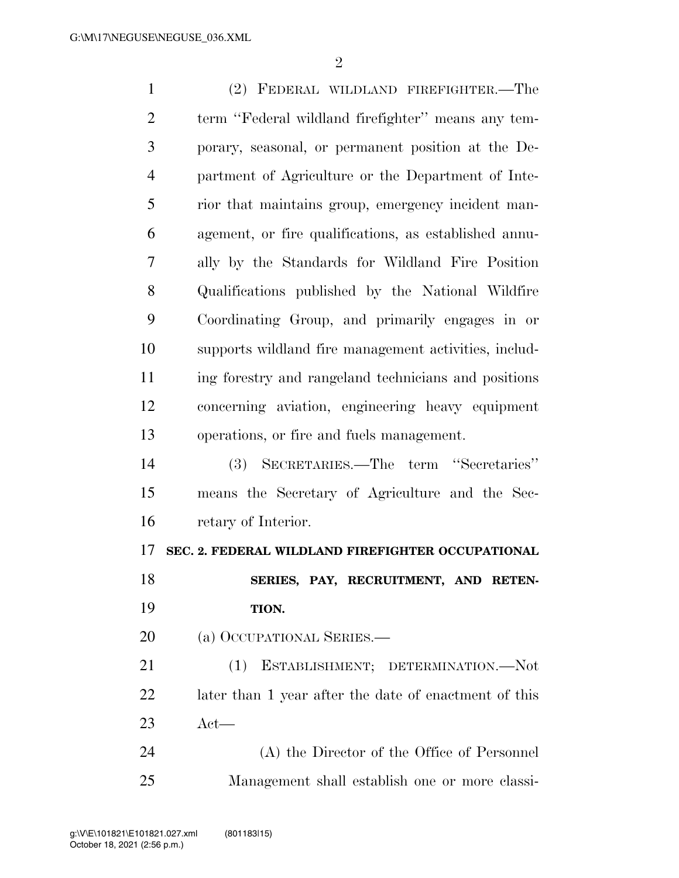| $\mathbf{1}$   | (2) FEDERAL WILDLAND FIREFIGHTER.—The                 |
|----------------|-------------------------------------------------------|
| $\overline{2}$ | term "Federal wildland firefighter" means any tem-    |
| 3              | porary, seasonal, or permanent position at the De-    |
| $\overline{4}$ | partment of Agriculture or the Department of Inte-    |
| 5              | rior that maintains group, emergency incident man-    |
| 6              | agement, or fire qualifications, as established annu- |
| 7              | ally by the Standards for Wildland Fire Position      |
| 8              | Qualifications published by the National Wildfire     |
| 9              | Coordinating Group, and primarily engages in or       |
| 10             | supports wildland fire management activities, includ- |
| 11             | ing forestry and rangeland technicians and positions  |
| 12             | concerning aviation, engineering heavy equipment      |
| 13             | operations, or fire and fuels management.             |
| 14             | (3) SECRETARIES.—The term "Secretaries"               |
| 15             | means the Secretary of Agriculture and the Sec-       |
| 16             | retary of Interior.                                   |
| 17             | SEC. 2. FEDERAL WILDLAND FIREFIGHTER OCCUPATIONAL     |
| 18             | SERIES, PAY, RECRUITMENT, AND RETEN-                  |
| 19             | TION.                                                 |
| <b>20</b>      | (a) OCCUPATIONAL SERIES.—                             |
| 21             | (1) ESTABLISHMENT; DETERMINATION.-Not                 |
| 22             | later than 1 year after the date of enactment of this |
| 23             | $\det$ —                                              |
| 24             | (A) the Director of the Office of Personnel           |
| 25             | Management shall establish one or more classi-        |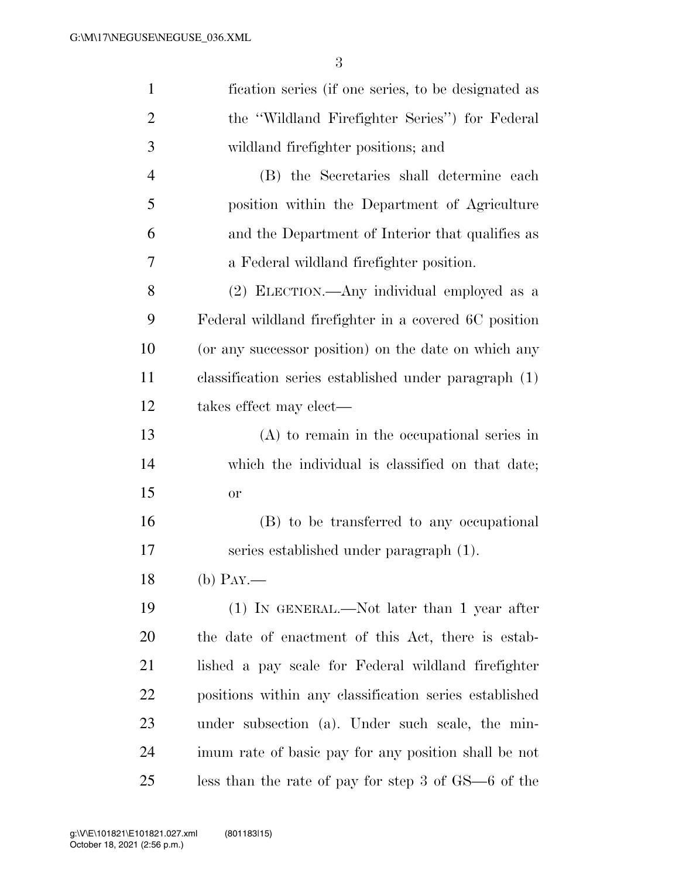| $\mathbf{1}$   | fication series (if one series, to be designated as    |
|----------------|--------------------------------------------------------|
| $\overline{2}$ | the "Wildland Firefighter Series") for Federal         |
| 3              | wildland firefighter positions; and                    |
| $\overline{4}$ | (B) the Secretaries shall determine each               |
| 5              | position within the Department of Agriculture          |
| 6              | and the Department of Interior that qualifies as       |
| 7              | a Federal wildland firefighter position.               |
| 8              | (2) ELECTION.—Any individual employed as a             |
| 9              | Federal wildland firefighter in a covered 6C position  |
| 10             | (or any successor position) on the date on which any   |
| 11             | classification series established under paragraph (1)  |
| 12             | takes effect may elect—                                |
| 13             | $(A)$ to remain in the occupational series in          |
| 14             | which the individual is classified on that date;       |
| 15             | <b>or</b>                                              |
| 16             | (B) to be transferred to any occupational              |
| 17             | series established under paragraph (1).                |
| 18             | $(b)$ PAY.—                                            |
| 19             | $(1)$ In GENERAL.—Not later than 1 year after          |
| <b>20</b>      | the date of enactment of this Act, there is estab-     |
| 21             | lished a pay scale for Federal wildland firefighter    |
| 22             | positions within any classification series established |
| 23             | under subsection (a). Under such scale, the min-       |
| 24             | imum rate of basic pay for any position shall be not   |
| 25             | less than the rate of pay for step 3 of $GS$ —6 of the |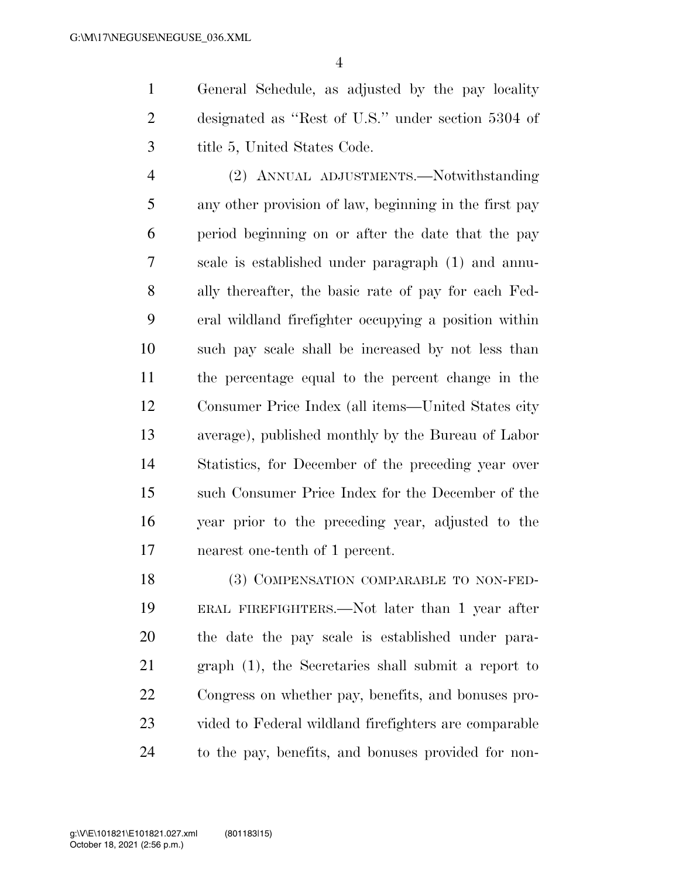General Schedule, as adjusted by the pay locality designated as ''Rest of U.S.'' under section 5304 of title 5, United States Code.

 (2) ANNUAL ADJUSTMENTS.—Notwithstanding any other provision of law, beginning in the first pay period beginning on or after the date that the pay scale is established under paragraph (1) and annu- ally thereafter, the basic rate of pay for each Fed- eral wildland firefighter occupying a position within such pay scale shall be increased by not less than the percentage equal to the percent change in the Consumer Price Index (all items—United States city average), published monthly by the Bureau of Labor Statistics, for December of the preceding year over such Consumer Price Index for the December of the year prior to the preceding year, adjusted to the nearest one-tenth of 1 percent.

18 (3) COMPENSATION COMPARABLE TO NON-FED- ERAL FIREFIGHTERS.—Not later than 1 year after the date the pay scale is established under para- graph (1), the Secretaries shall submit a report to Congress on whether pay, benefits, and bonuses pro- vided to Federal wildland firefighters are comparable to the pay, benefits, and bonuses provided for non-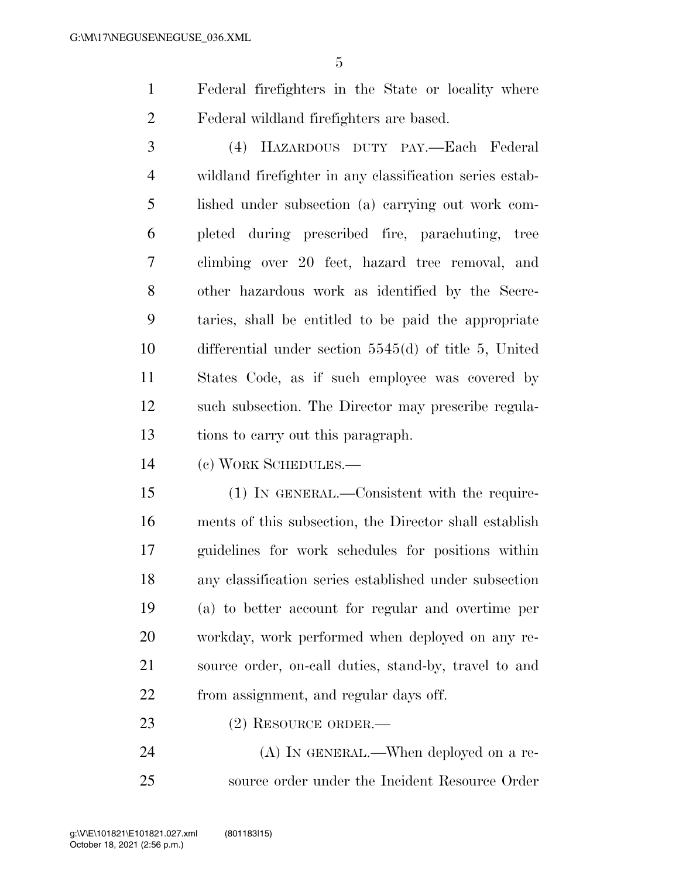Federal firefighters in the State or locality where Federal wildland firefighters are based.

 (4) HAZARDOUS DUTY PAY.—Each Federal wildland firefighter in any classification series estab- lished under subsection (a) carrying out work com- pleted during prescribed fire, parachuting, tree climbing over 20 feet, hazard tree removal, and other hazardous work as identified by the Secre- taries, shall be entitled to be paid the appropriate differential under section 5545(d) of title 5, United States Code, as if such employee was covered by such subsection. The Director may prescribe regula-tions to carry out this paragraph.

(c) WORK SCHEDULES.—

 (1) IN GENERAL.—Consistent with the require- ments of this subsection, the Director shall establish guidelines for work schedules for positions within any classification series established under subsection (a) to better account for regular and overtime per workday, work performed when deployed on any re- source order, on-call duties, stand-by, travel to and from assignment, and regular days off.

(2) RESOURCE ORDER.—

24 (A) In GENERAL.—When deployed on a re-source order under the Incident Resource Order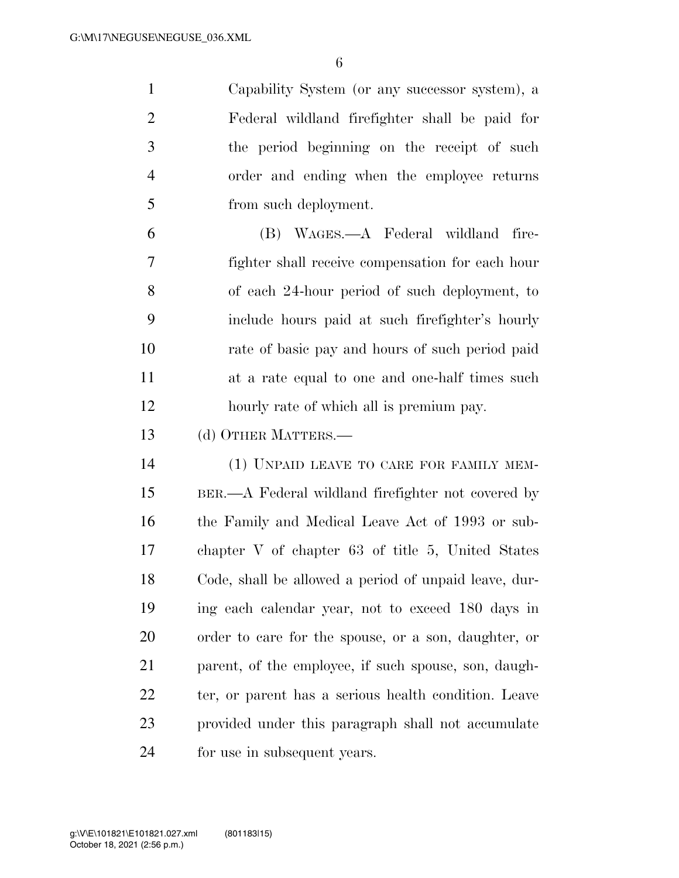Capability System (or any successor system), a Federal wildland firefighter shall be paid for the period beginning on the receipt of such order and ending when the employee returns from such deployment. (B) WAGES.—A Federal wildland fire-

 fighter shall receive compensation for each hour of each 24-hour period of such deployment, to include hours paid at such firefighter's hourly rate of basic pay and hours of such period paid at a rate equal to one and one-half times such hourly rate of which all is premium pay.

(d) OTHER MATTERS.—

 (1) UNPAID LEAVE TO CARE FOR FAMILY MEM- BER.—A Federal wildland firefighter not covered by the Family and Medical Leave Act of 1993 or sub- chapter V of chapter 63 of title 5, United States Code, shall be allowed a period of unpaid leave, dur- ing each calendar year, not to exceed 180 days in order to care for the spouse, or a son, daughter, or parent, of the employee, if such spouse, son, daugh-22 ter, or parent has a serious health condition. Leave provided under this paragraph shall not accumulate for use in subsequent years.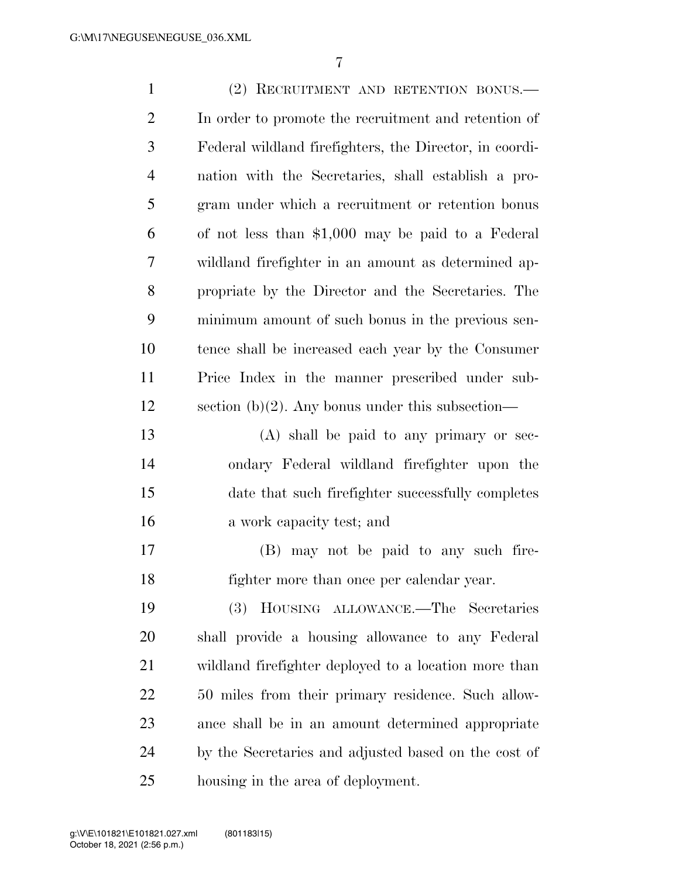| $\mathbf{1}$   | (2) RECRUITMENT AND RETENTION BONUS.                    |
|----------------|---------------------------------------------------------|
| $\overline{2}$ | In order to promote the recruitment and retention of    |
| 3              | Federal wildland firefighters, the Director, in coordi- |
| $\overline{4}$ | nation with the Secretaries, shall establish a pro-     |
| 5              | gram under which a recruitment or retention bonus       |
| 6              | of not less than \$1,000 may be paid to a Federal       |
| 7              | wildland firefighter in an amount as determined ap-     |
| 8              | propriate by the Director and the Secretaries. The      |
| 9              | minimum amount of such bonus in the previous sen-       |
| 10             | tence shall be increased each year by the Consumer      |
| 11             | Price Index in the manner prescribed under sub-         |
| 12             | section (b)(2). Any bonus under this subsection—        |
| 13             | (A) shall be paid to any primary or sec-                |
| 14             | ondary Federal wildland firefighter upon the            |
| 15             | date that such firefighter successfully completes       |
| 16             | a work capacity test; and                               |
| 17             | (B) may not be paid to any such fire-                   |
| 18             | fighter more than once per calendar year.               |
| 19             | <b>(3)</b><br>HOUSING ALLOWANCE.—The Secretaries        |
| 20             | shall provide a housing allowance to any Federal        |
| 21             | wildland firefighter deployed to a location more than   |
| 22             | 50 miles from their primary residence. Such allow-      |
| 23             | ance shall be in an amount determined appropriate       |
| 24             | by the Secretaries and adjusted based on the cost of    |
| 25             | housing in the area of deployment.                      |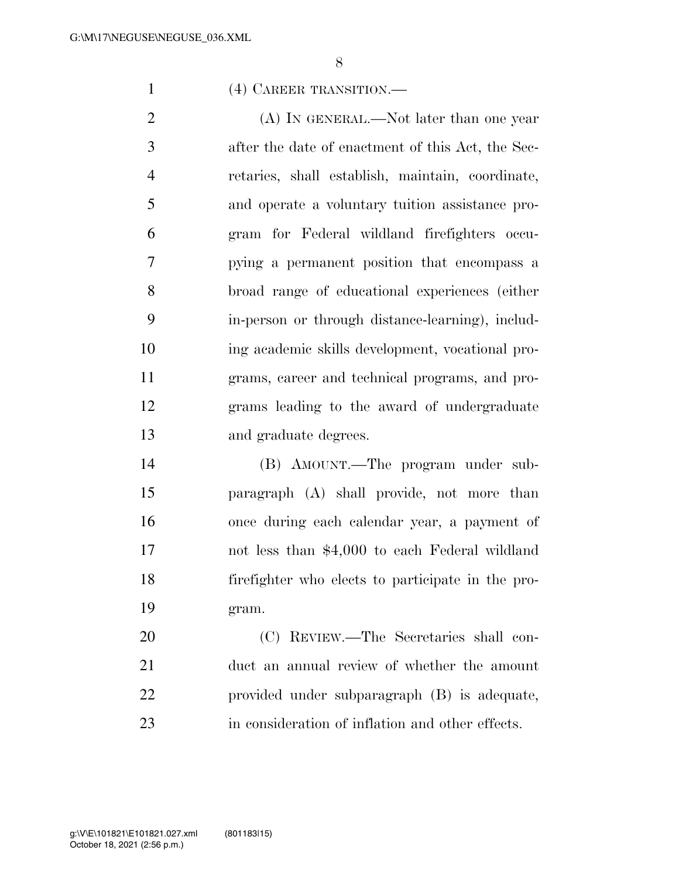#### (4) CAREER TRANSITION.—

2 (A) IN GENERAL.—Not later than one year after the date of enactment of this Act, the Sec- retaries, shall establish, maintain, coordinate, and operate a voluntary tuition assistance pro- gram for Federal wildland firefighters occu- pying a permanent position that encompass a broad range of educational experiences (either in-person or through distance-learning), includ- ing academic skills development, vocational pro- grams, career and technical programs, and pro- grams leading to the award of undergraduate and graduate degrees.

 (B) AMOUNT.—The program under sub- paragraph (A) shall provide, not more than once during each calendar year, a payment of not less than \$4,000 to each Federal wildland firefighter who elects to participate in the pro-gram.

 (C) REVIEW.—The Secretaries shall con- duct an annual review of whether the amount provided under subparagraph (B) is adequate, in consideration of inflation and other effects.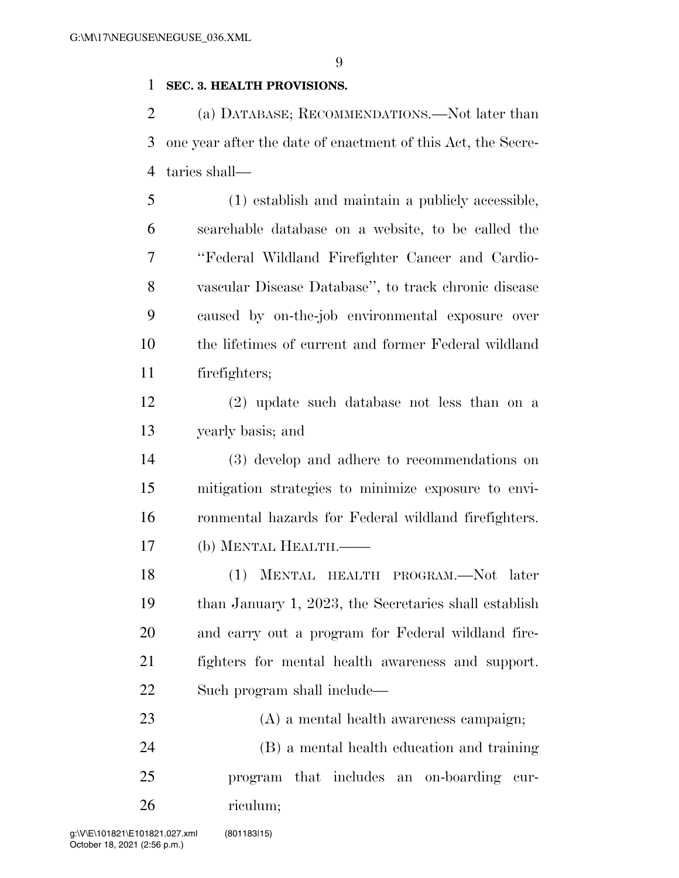#### **SEC. 3. HEALTH PROVISIONS.**

 (a) DATABASE; RECOMMENDATIONS.—Not later than one year after the date of enactment of this Act, the Secre-taries shall—

 (1) establish and maintain a publicly accessible, searchable database on a website, to be called the ''Federal Wildland Firefighter Cancer and Cardio- vascular Disease Database'', to track chronic disease caused by on-the-job environmental exposure over the lifetimes of current and former Federal wildland firefighters;

 (2) update such database not less than on a yearly basis; and

 (3) develop and adhere to recommendations on mitigation strategies to minimize exposure to envi- ronmental hazards for Federal wildland firefighters. (b) MENTAL HEALTH.——

 (1) MENTAL HEALTH PROGRAM.—Not later than January 1, 2023, the Secretaries shall establish and carry out a program for Federal wildland fire- fighters for mental health awareness and support. Such program shall include—

 (A) a mental health awareness campaign; (B) a mental health education and training

 program that includes an on-boarding cur-riculum;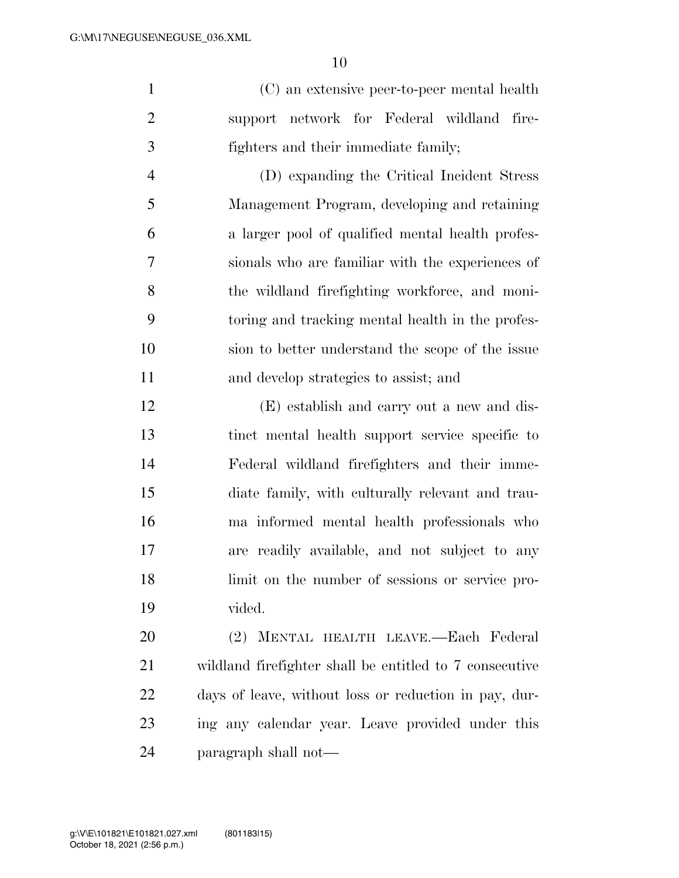(C) an extensive peer-to-peer mental health support network for Federal wildland fire-fighters and their immediate family;

 (D) expanding the Critical Incident Stress Management Program, developing and retaining a larger pool of qualified mental health profes- sionals who are familiar with the experiences of the wildland firefighting workforce, and moni- toring and tracking mental health in the profes- sion to better understand the scope of the issue and develop strategies to assist; and

 (E) establish and carry out a new and dis- tinct mental health support service specific to Federal wildland firefighters and their imme- diate family, with culturally relevant and trau- ma informed mental health professionals who are readily available, and not subject to any limit on the number of sessions or service pro-vided.

 (2) MENTAL HEALTH LEAVE.—Each Federal wildland firefighter shall be entitled to 7 consecutive days of leave, without loss or reduction in pay, dur- ing any calendar year. Leave provided under this paragraph shall not—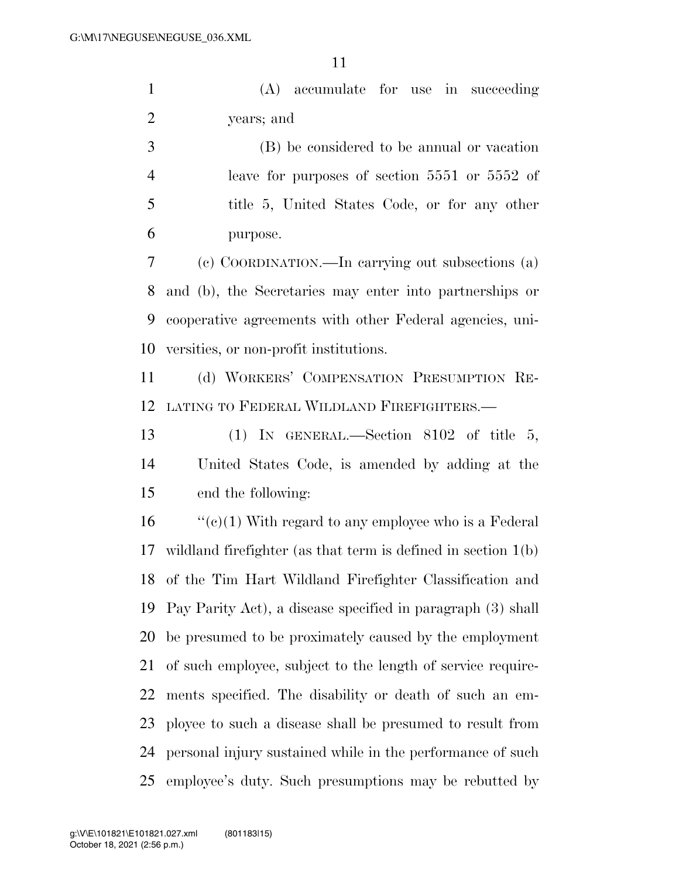(A) accumulate for use in succeeding years; and

 (B) be considered to be annual or vacation leave for purposes of section 5551 or 5552 of title 5, United States Code, or for any other purpose.

 (c) COORDINATION.—In carrying out subsections (a) and (b), the Secretaries may enter into partnerships or cooperative agreements with other Federal agencies, uni-versities, or non-profit institutions.

 (d) WORKERS' COMPENSATION PRESUMPTION RE-LATING TO FEDERAL WILDLAND FIREFIGHTERS.—

 (1) IN GENERAL.—Section 8102 of title 5, United States Code, is amended by adding at the end the following:

 $\cdot$  (c)(1) With regard to any employee who is a Federal wildland firefighter (as that term is defined in section 1(b) of the Tim Hart Wildland Firefighter Classification and Pay Parity Act), a disease specified in paragraph (3) shall be presumed to be proximately caused by the employment of such employee, subject to the length of service require- ments specified. The disability or death of such an em- ployee to such a disease shall be presumed to result from personal injury sustained while in the performance of such employee's duty. Such presumptions may be rebutted by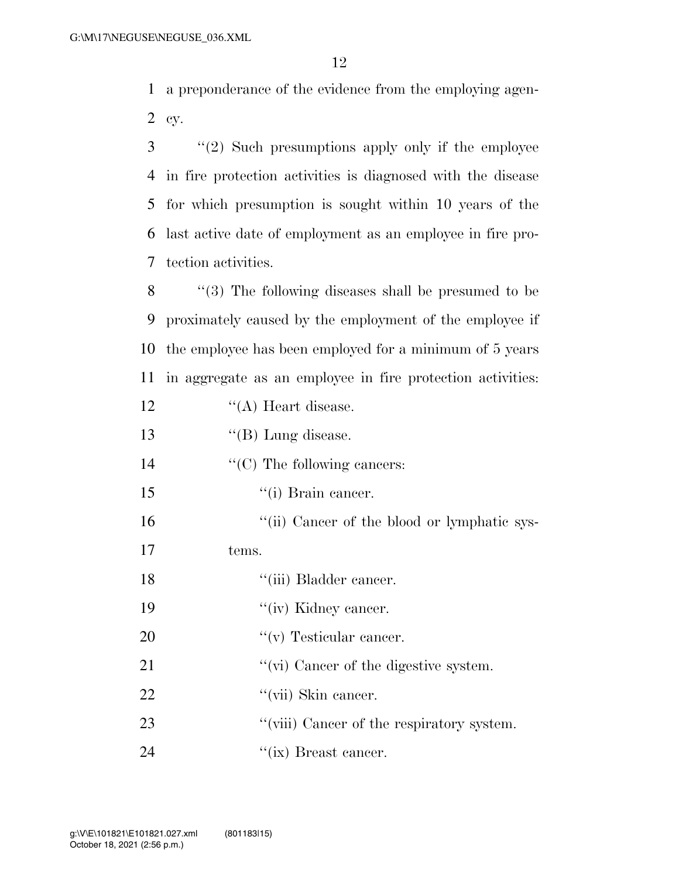1 a preponderance of the evidence from the employing agen-2 cy.

 ''(2) Such presumptions apply only if the employee in fire protection activities is diagnosed with the disease for which presumption is sought within 10 years of the last active date of employment as an employee in fire pro-tection activities.

 ''(3) The following diseases shall be presumed to be proximately caused by the employment of the employee if the employee has been employed for a minimum of 5 years in aggregate as an employee in fire protection activities: 12 ''(A) Heart disease. 13 ''(B) Lung disease.

14  $\cdot$  (C) The following cancers:

15 '(i) Brain cancer.

16 "(ii) Cancer of the blood or lymphatic sys-

17 tems.

18 ''(iii) Bladder cancer.

19 ''(iv) Kidney cancer.

20  $''(v)$  Testicular cancer.

- 21  $\frac{1}{2}$   $\frac{1}{2}$   $\frac{1}{2}$   $\frac{1}{2}$   $\frac{1}{2}$   $\frac{1}{2}$   $\frac{1}{2}$   $\frac{1}{2}$   $\frac{1}{2}$   $\frac{1}{2}$   $\frac{1}{2}$   $\frac{1}{2}$   $\frac{1}{2}$   $\frac{1}{2}$   $\frac{1}{2}$   $\frac{1}{2}$   $\frac{1}{2}$   $\frac{1}{2}$   $\frac{1}{2}$   $\frac{1}{2}$   $\frac{1}{2}$   $\frac{1}{2}$
- 22  $\frac{4}{\pi}$   $\frac{1}{\pi}$  Skin cancer.
- 23 ''(viii) Cancer of the respiratory system.
- 24 ''(ix) Breast cancer.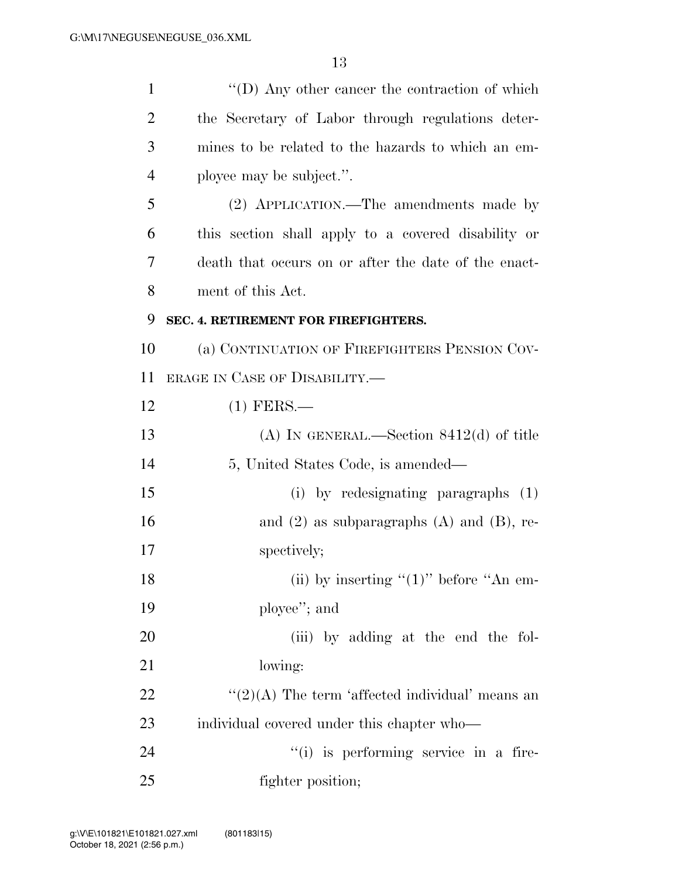| $\mathbf{1}$   | $\lq\lq$ (D) Any other cancer the contraction of which |
|----------------|--------------------------------------------------------|
| $\overline{2}$ | the Secretary of Labor through regulations deter-      |
| 3              | mines to be related to the hazards to which an em-     |
| $\overline{4}$ | ployee may be subject.".                               |
| 5              | (2) APPLICATION.—The amendments made by                |
| 6              | this section shall apply to a covered disability or    |
| 7              | death that occurs on or after the date of the enact-   |
| 8              | ment of this Act.                                      |
| 9              | SEC. 4. RETIREMENT FOR FIREFIGHTERS.                   |
| 10             | (a) CONTINUATION OF FIREFIGHTERS PENSION COV-          |
| 11             | ERAGE IN CASE OF DISABILITY.—                          |
| 12             | $(1)$ FERS.—                                           |
| 13             | (A) IN GENERAL.—Section $8412(d)$ of title             |
| 14             | 5, United States Code, is amended—                     |
| 15             | (i) by redesignating paragraphs (1)                    |
| 16             | and $(2)$ as subparagraphs $(A)$ and $(B)$ , re-       |
| 17             | spectively;                                            |
| 18             | (ii) by inserting " $(1)$ " before "An em-             |
| 19             | ployee"; and                                           |
| 20             | (iii) by adding at the end the fol-                    |
| 21             | lowing:                                                |
| 22             | " $(2)(A)$ The term 'affected individual' means an     |
| 23             | individual covered under this chapter who—             |
| 24             | "(i) is performing service in a fire-                  |
| 25             | fighter position;                                      |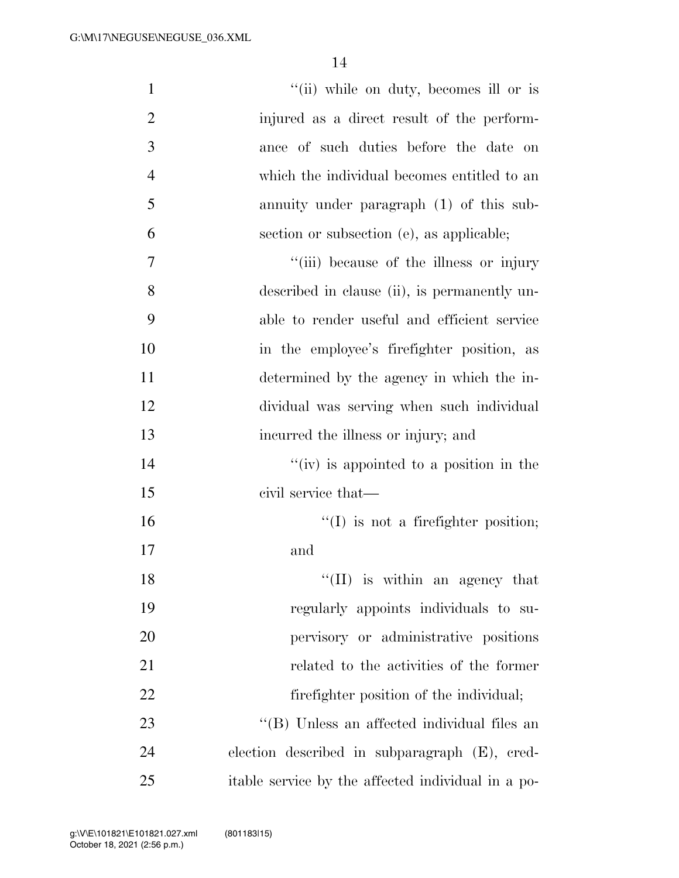| $\mathbf{1}$   | "(ii) while on duty, becomes ill or is             |
|----------------|----------------------------------------------------|
| $\overline{2}$ | injured as a direct result of the perform-         |
| 3              | ance of such duties before the date on             |
| $\overline{4}$ | which the individual becomes entitled to an        |
| 5              | annuity under paragraph (1) of this sub-           |
| 6              | section or subsection (e), as applicable;          |
| 7              | "(iii) because of the illness or injury            |
| 8              | described in clause (ii), is permanently un-       |
| 9              | able to render useful and efficient service        |
| 10             | in the employee's firefighter position, as         |
| 11             | determined by the agency in which the in-          |
| 12             | dividual was serving when such individual          |
| 13             | incurred the illness or injury; and                |
| 14             | $f'(iv)$ is appointed to a position in the         |
| 15             | civil service that—                                |
| 16             | $\lq\lq$ (I) is not a firefighter position;        |
| 17             | and                                                |
| 18             | $\lq\lq$ (II) is within an agency that             |
| 19             | regularly appoints individuals to su-              |
| 20             | pervisory or administrative positions              |
| 21             | related to the activities of the former            |
| 22             | fire fighter position of the individual;           |
| 23             | "(B) Unless an affected individual files an        |
| 24             | election described in subparagraph (E), cred-      |
| 25             | itable service by the affected individual in a po- |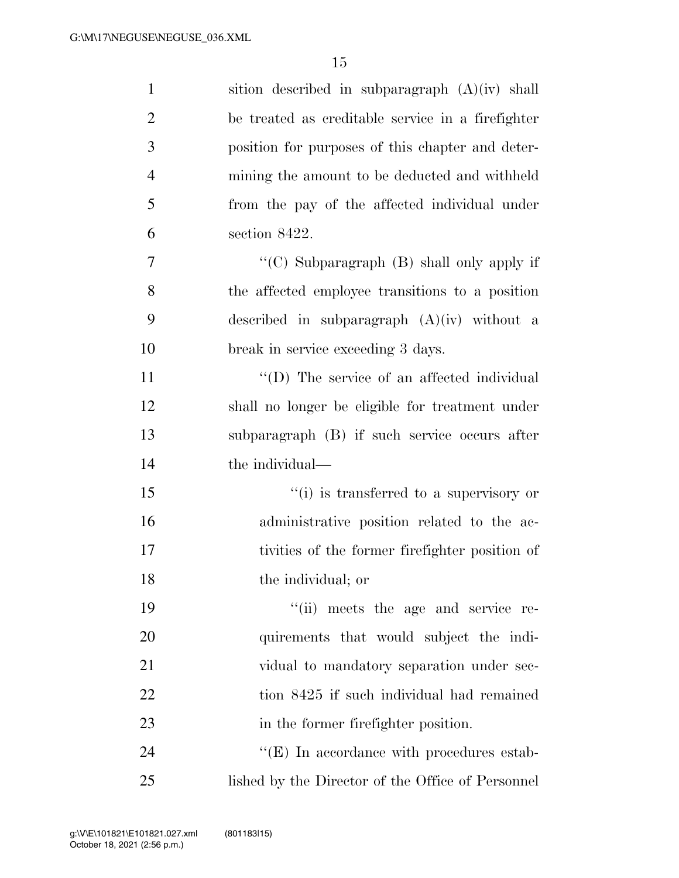| $\mathbf{1}$   | sition described in subparagraph (A)(iv) shall    |
|----------------|---------------------------------------------------|
| $\overline{2}$ | be treated as creditable service in a firefighter |
| $\mathfrak{Z}$ | position for purposes of this chapter and deter-  |
| $\overline{4}$ | mining the amount to be deducted and withheld     |
| 5              | from the pay of the affected individual under     |
| 6              | section 8422.                                     |
| 7              | "(C) Subparagraph (B) shall only apply if         |
| 8              | the affected employee transitions to a position   |
| 9              | described in subparagraph $(A)(iv)$ without a     |
| 10             | break in service exceeding 3 days.                |
| 11             | "(D) The service of an affected individual        |
| 12             | shall no longer be eligible for treatment under   |
| 13             | subparagraph (B) if such service occurs after     |
| 14             | the individual—                                   |
| 15             | "(i) is transferred to a supervisory or           |
| 16             | administrative position related to the ac-        |
| 17             | tivities of the former firefighter position of    |
| 18             | the individual; or                                |
| 19             | "(ii) meets the age and service re-               |
| 20             | quirements that would subject the indi-           |
| 21             | vidual to mandatory separation under sec-         |
| 22             | tion 8425 if such individual had remained         |
| 23             | in the former firefighter position.               |
| 24             | $\lq\lq(E)$ In accordance with procedures estab-  |
| 25             | lished by the Director of the Office of Personnel |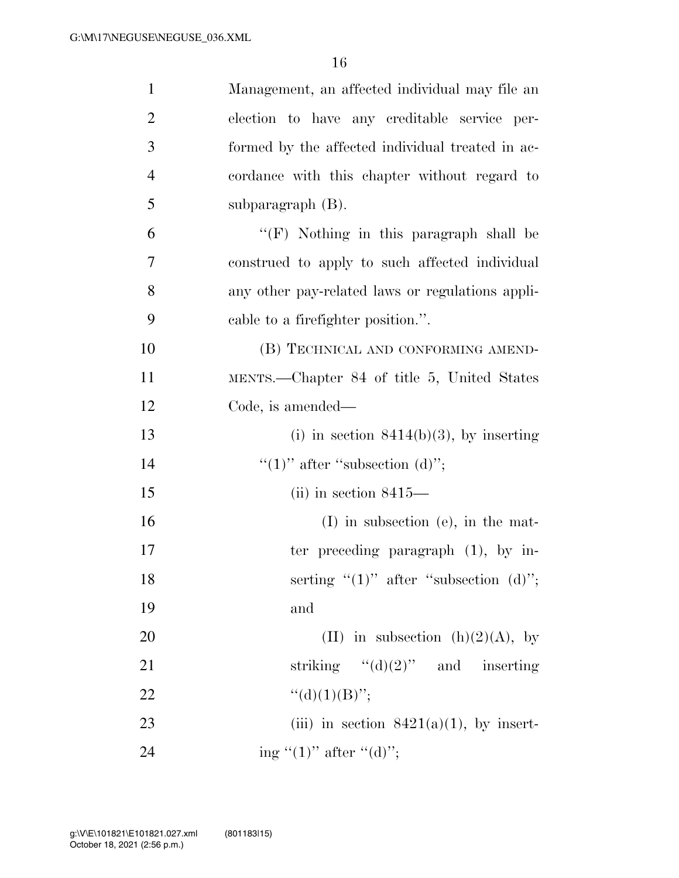| $\mathbf{1}$   | Management, an affected individual may file an   |
|----------------|--------------------------------------------------|
| $\overline{2}$ | election to have any creditable service per-     |
| 3              | formed by the affected individual treated in ac- |
| 4              | cordance with this chapter without regard to     |
| 5              | subparagraph $(B)$ .                             |
| 6              | $\lq\lq(F)$ Nothing in this paragraph shall be   |
| 7              | construed to apply to such affected individual   |
| 8              | any other pay-related laws or regulations appli- |
| 9              | cable to a firefighter position.".               |
| 10             | (B) TECHNICAL AND CONFORMING AMEND-              |
| 11             | MENTS.—Chapter 84 of title 5, United States      |
| 12             | Code, is amended—                                |
| 13             | (i) in section $8414(b)(3)$ , by inserting       |
| 14             | "(1)" after "subsection (d)";                    |
| 15             | $(ii)$ in section 8415—                          |
| 16             | $(I)$ in subsection (e), in the mat-             |
| 17             | ter preceding paragraph $(1)$ , by in-           |
| 18             | serting " $(1)$ " after "subsection $(d)$ ";     |
| 19             | and                                              |
| 20             | (II) in subsection (h)(2)(A), by                 |
| 21             | striking " $(d)(2)$ " and inserting              |
| 22             | " $(d)(1)(B)$ ";                                 |
| 23             | (iii) in section $8421(a)(1)$ , by insert-       |
| 24             | ing " $(1)$ " after " $(d)$ ";                   |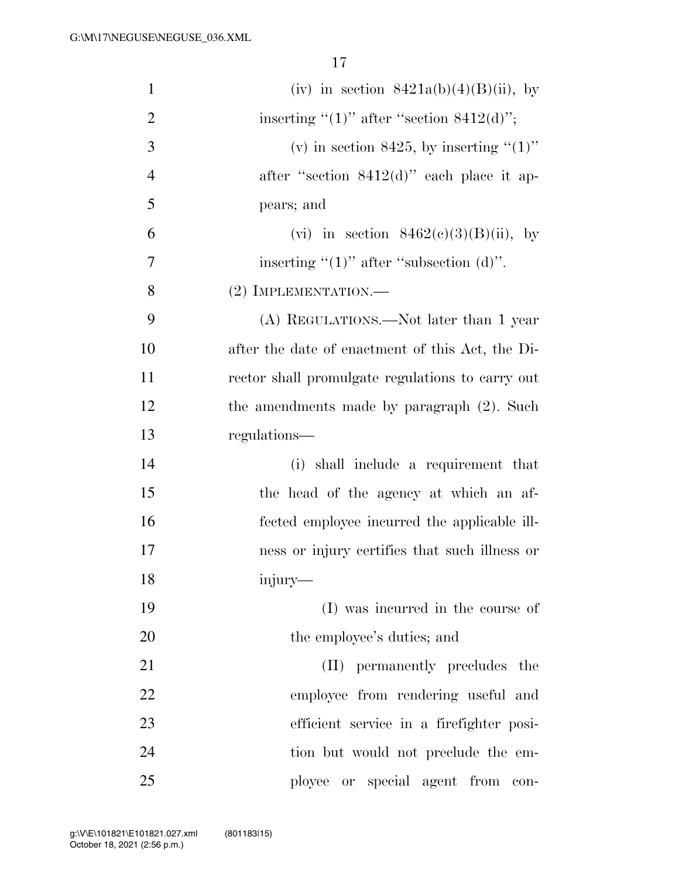| $\mathbf{1}$   | (iv) in section $8421a(b)(4)(B)(ii)$ , by        |
|----------------|--------------------------------------------------|
| $\overline{2}$ | inserting " $(1)$ " after "section 8412 $(d)$ "; |
| 3              | (v) in section 8425, by inserting " $(1)$ "      |
| $\overline{4}$ | after "section $8412(d)$ " each place it ap-     |
| 5              | pears; and                                       |
| 6              | (vi) in section $8462(c)(3)(B)(ii)$ , by         |
| 7              | inserting " $(1)$ " after "subsection $(d)$ ".   |
| 8              | (2) IMPLEMENTATION.-                             |
| 9              | (A) REGULATIONS.—Not later than 1 year           |
| 10             | after the date of enactment of this Act, the Di- |
| 11             | rector shall promulgate regulations to carry out |
| 12             | the amendments made by paragraph (2). Such       |
| 13             | regulations—                                     |
| 14             | (i) shall include a requirement that             |
| 15             | the head of the agency at which an af-           |
| 16             | fected employee incurred the applicable ill-     |
| 17             | ness or injury certifies that such illness or    |
| 18             | injury—                                          |
| 19             | (I) was incurred in the course of                |
| 20             | the employee's duties; and                       |
| 21             | (II) permanently precludes the                   |
| 22             | employee from rendering useful and               |
| 23             | efficient service in a firefighter posi-         |
| 24             | tion but would not preclude the em-              |
| 25             | ployee or special agent from<br>$\rm con$ -      |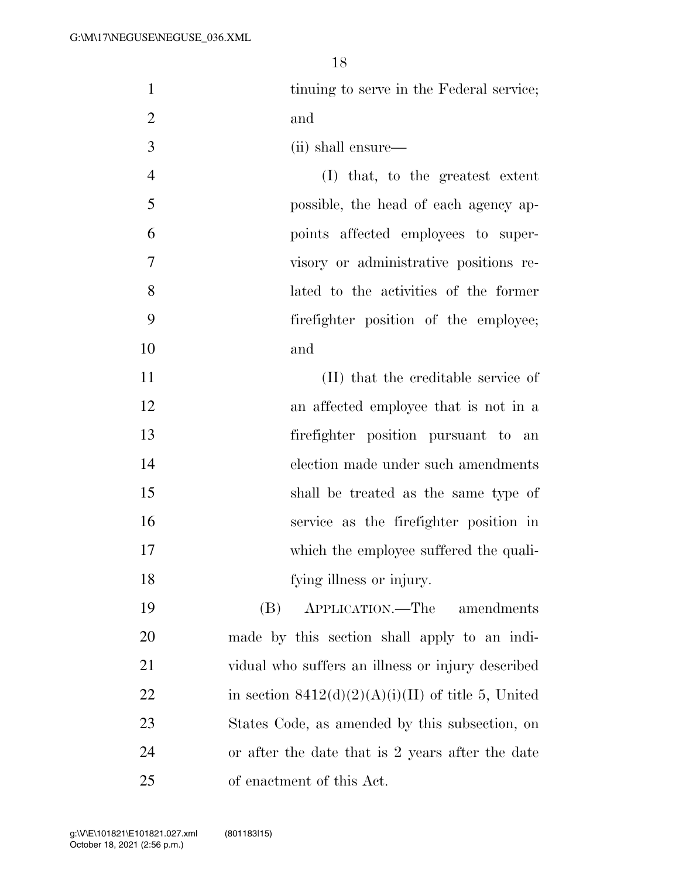- 1 tinuing to serve in the Federal service; and
- (ii) shall ensure—
- (I) that, to the greatest extent possible, the head of each agency ap- points affected employees to super- visory or administrative positions re- lated to the activities of the former firefighter position of the employee; and
- (II) that the creditable service of an affected employee that is not in a firefighter position pursuant to an election made under such amendments shall be treated as the same type of service as the firefighter position in 17 which the employee suffered the quali-fying illness or injury.
- (B) APPLICATION.—The amendments made by this section shall apply to an indi- vidual who suffers an illness or injury described 22 in section  $8412(d)(2)(A)(i)(II)$  of title 5, United States Code, as amended by this subsection, on or after the date that is 2 years after the date of enactment of this Act.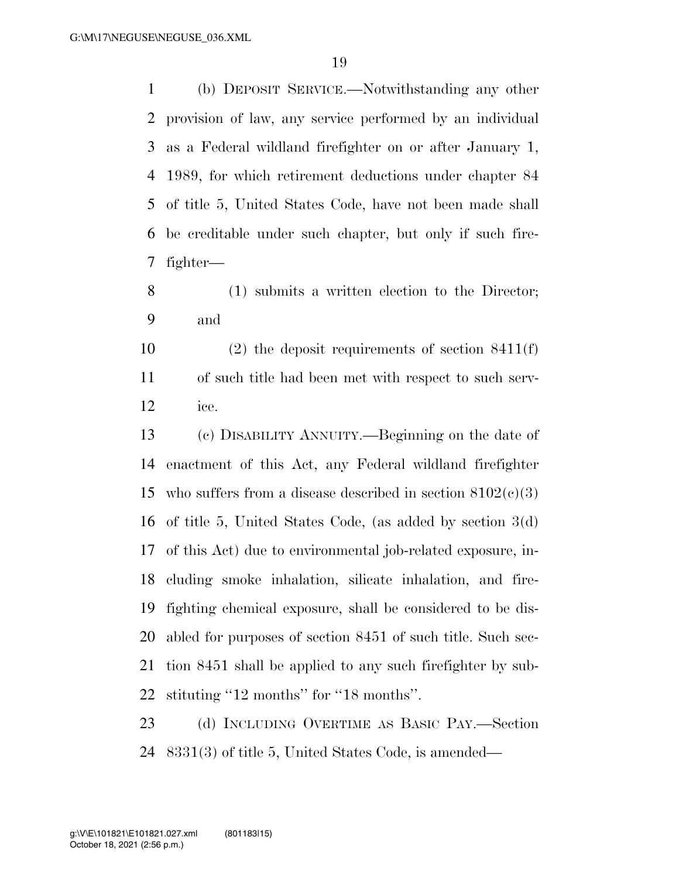(b) DEPOSIT SERVICE.—Notwithstanding any other provision of law, any service performed by an individual as a Federal wildland firefighter on or after January 1, 1989, for which retirement deductions under chapter 84 of title 5, United States Code, have not been made shall be creditable under such chapter, but only if such fire-fighter—

 (1) submits a written election to the Director; and

 (2) the deposit requirements of section 8411(f) of such title had been met with respect to such serv-ice.

 (c) DISABILITY ANNUITY.—Beginning on the date of enactment of this Act, any Federal wildland firefighter 15 who suffers from a disease described in section  $8102(c)(3)$  of title 5, United States Code, (as added by section 3(d) of this Act) due to environmental job-related exposure, in- cluding smoke inhalation, silicate inhalation, and fire- fighting chemical exposure, shall be considered to be dis- abled for purposes of section 8451 of such title. Such sec- tion 8451 shall be applied to any such firefighter by sub-22 stituting "12 months" for "18 months".

 (d) INCLUDING OVERTIME AS BASIC PAY.—Section 8331(3) of title 5, United States Code, is amended—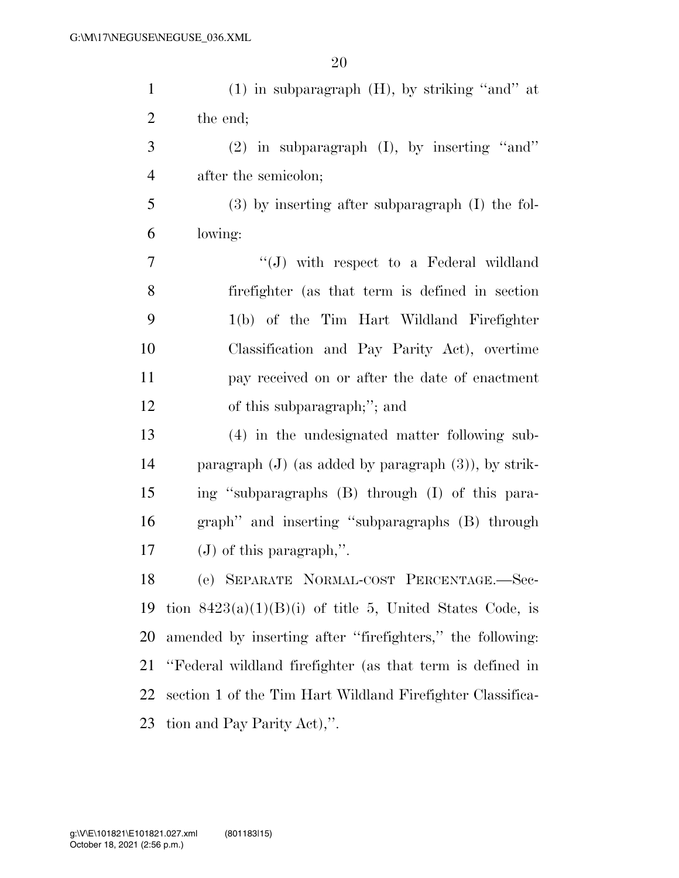| $\mathbf{1}$   | $(1)$ in subparagraph $(H)$ , by striking "and" at         |
|----------------|------------------------------------------------------------|
| $\overline{2}$ | the end;                                                   |
| 3              | $(2)$ in subparagraph $(I)$ , by inserting "and"           |
| $\overline{4}$ | after the semicolon;                                       |
| 5              | $(3)$ by inserting after subparagraph $(I)$ the fol-       |
| 6              | lowing:                                                    |
| 7              | $\lq\lq(J)$ with respect to a Federal wildland             |
| 8              | fire fighter (as that term is defined in section           |
| 9              | 1(b) of the Tim Hart Wildland Firefighter                  |
| 10             | Classification and Pay Parity Act), overtime               |
| 11             | pay received on or after the date of enactment             |
| 12             | of this subparagraph;"; and                                |
| 13             | (4) in the undesignated matter following sub-              |
| 14             | paragraph $(J)$ (as added by paragraph $(3)$ ), by strik-  |
| 15             | ing "subparagraphs (B) through (I) of this para-           |
| 16             | graph" and inserting "subparagraphs (B) through            |
| 17             | $(J)$ of this paragraph,".                                 |
| 18             | (e) SEPARATE NORMAL-COST PERCENTAGE.-Sec-                  |
| 19             | tion $8423(a)(1)(B)(i)$ of title 5, United States Code, is |
| 20             | amended by inserting after "firefighters," the following:  |
| 21             | "Federal wildland firefighter (as that term is defined in  |
| 22             | section 1 of the Tim Hart Wildland Firefighter Classifica- |
| 23             | tion and Pay Parity Act),".                                |